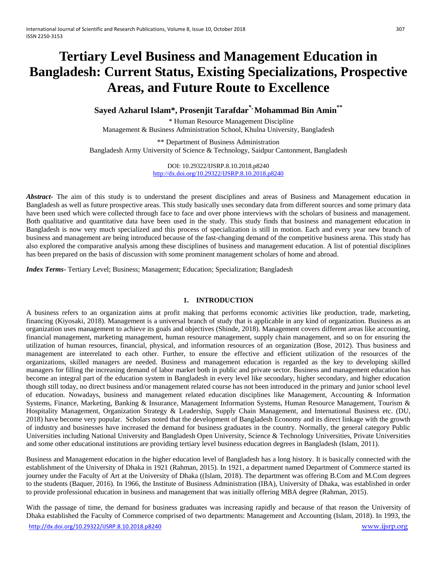# **Tertiary Level Business and Management Education in Bangladesh: Current Status, Existing Specializations, Prospective Areas, and Future Route to Excellence**

## **Sayed Azharul Islam\*, Prosenjit Tarafdar\*, Mohammad Bin Amin\*\***

\* Human Resource Management Discipline Management & Business Administration School, Khulna University, Bangladesh

\*\* Department of Business Administration Bangladesh Army University of Science & Technology, Saidpur Cantonment, Bangladesh

> DOI: 10.29322/IJSRP.8.10.2018.p8240 <http://dx.doi.org/10.29322/IJSRP.8.10.2018.p8240>

Abstract<sub>r</sub> The aim of this study is to understand the present disciplines and areas of Business and Management education in Bangladesh as well as future prospective areas. This study basically uses secondary data from different sources and some primary data have been used which were collected through face to face and over phone interviews with the scholars of business and management. Both qualitative and quantitative data have been used in the study. This study finds that business and management education in Bangladesh is now very much specialized and this process of specialization is still in motion. Each and every year new branch of business and management are being introduced because of the fast-changing demand of the competitive business arena. This study has also explored the comparative analysis among these disciplines of business and management education. A list of potential disciplines has been prepared on the basis of discussion with some prominent management scholars of home and abroad.

*Index Terms***-** Tertiary Level; Business; Management; Education; Specialization; Bangladesh

### **1. INTRODUCTION**

A business refers to an organization aims at profit making that performs economic activities like production, trade, marketing, financing (Kiyosaki, 2018). Management is a universal branch of study that is applicable in any kind of organization. Business as an organization uses management to achieve its goals and objectives (Shinde, 2018). Management covers different areas like accounting, financial management, marketing management, human resource management, supply chain management, and so on for ensuring the utilization of human resources, financial, physical, and information resources of an organization (Bose, 2012). Thus business and management are interrelated to each other. Further, to ensure the effective and efficient utilization of the resources of the organizations, skilled managers are needed. Business and management education is regarded as the key to developing skilled managers for filling the increasing demand of labor market both in public and private sector. Business and management education has become an integral part of the education system in Bangladesh in every level like secondary, higher secondary, and higher education though still today, no direct business and/or management related course has not been introduced in the primary and junior school level of education. Nowadays, business and management related education disciplines like Management, Accounting & Information Systems, Finance, Marketing, Banking & Insurance, Management Information Systems, Human Resource Management, Tourism & Hospitality Management, Organization Strategy & Leadership, Supply Chain Management, and International Business etc. (DU, 2018) have become very popular. Scholars noted that the development of Bangladesh Economy and its direct linkage with the growth of industry and businesses have increased the demand for business graduates in the country. Normally, the general category Public Universities including National University and Bangladesh Open University, Science & Technology Universities, Private Universities and some other educational institutions are providing tertiary level business education degrees in Bangladesh (Islam, 2011).

Business and Management education in the higher education level of Bangladesh has a long history. It is basically connected with the establishment of the University of Dhaka in 1921 (Rahman, 2015). In 1921, a department named Department of Commerce started its journey under the Faculty of Art at the University of Dhaka ((Islam, 2018). The department was offering B.Com and M.Com degrees to the students (Baquer, 2016). In 1966, the Institute of Business Administration (IBA), University of Dhaka, was established in order to provide professional education in business and management that was initially offering MBA degree (Rahman, 2015).

With the passage of time, the demand for business graduates was increasing rapidly and because of that reason the University of Dhaka established the Faculty of Commerce comprised of two departments: Management and Accounting (Islam, 2018). In 1993, the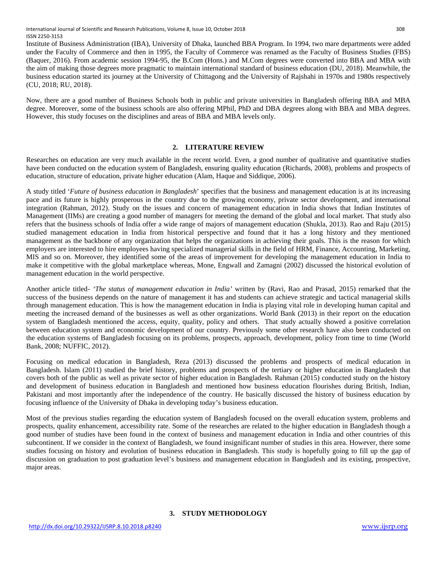Institute of Business Administration (IBA), University of Dhaka, launched BBA Program. In 1994, two mare departments were added under the Faculty of Commerce and then in 1995, the Faculty of Commerce was renamed as the Faculty of Business Studies (FBS) (Baquer, 2016). From academic session 1994-95, the B.Com (Hons.) and M.Com degrees were converted into BBA and MBA with the aim of making those degrees more pragmatic to maintain international standard of business education (DU, 2018). Meanwhile, the business education started its journey at the University of Chittagong and the University of Rajshahi in 1970s and 1980s respectively (CU, 2018; RU, 2018).

Now, there are a good number of Business Schools both in public and private universities in Bangladesh offering BBA and MBA degree. Moreover, some of the business schools are also offering MPhil, PhD and DBA degrees along with BBA and MBA degrees. However, this study focuses on the disciplines and areas of BBA and MBA levels only.

#### **2. LITERATURE REVIEW**

Researches on education are very much available in the recent world. Even, a good number of qualitative and quantitative studies have been conducted on the education system of Bangladesh, ensuring quality education (Richards, 2008), problems and prospects of education, structure of education, private higher education (Alam, Haque and Siddique, 2006).

A study titled '*Future of business education in Bangladesh*' specifies that the business and management education is at its increasing pace and its future is highly prosperous in the country due to the growing economy, private sector development, and international integration (Rahman, 2012). Study on the issues and concern of management education in India shows that Indian Institutes of Management (IIMs) are creating a good number of managers for meeting the demand of the global and local market. That study also refers that the business schools of India offer a wide range of majors of management education (Shukla, 2013). Rao and Raju (2015) studied management education in India from historical perspective and found that it has a long history and they mentioned management as the backbone of any organization that helps the organizations in achieving their goals. This is the reason for which employers are interested to hire employees having specialized managerial skills in the field of HRM, Finance, Accounting, Marketing, MIS and so on. Moreover, they identified some of the areas of improvement for developing the management education in India to make it competitive with the global marketplace whereas, Mone, Engwall and Zamagni (2002) discussed the historical evolution of management education in the world perspective.

Another article titled- *'The status of management education in India'* written by (Ravi, Rao and Prasad, 2015) remarked that the success of the business depends on the nature of management it has and students can achieve strategic and tactical managerial skills through management education. This is how the management education in India is playing vital role in developing human capital and meeting the increased demand of the businesses as well as other organizations. World Bank (2013) in their report on the education system of Bangladesh mentioned the access, equity, quality, policy and others. That study actually showed a positive correlation between education system and economic development of our country. Previously some other research have also been conducted on the education systems of Bangladesh focusing on its problems, prospects, approach, development, policy from time to time (World Bank, 2008; NUFFIC, 2012).

Focusing on medical education in Bangladesh, Reza (2013) discussed the problems and prospects of medical education in Bangladesh. Islam (2011) studied the brief history, problems and prospects of the tertiary or higher education in Bangladesh that covers both of the public as well as private sector of higher education in Bangladesh. Rahman (2015) conducted study on the history and development of business education in Bangladesh and mentioned how business education flourishes during British, Indian, Pakistani and most importantly after the independence of the country. He basically discussed the history of business education by focusing influence of the University of Dhaka in developing today's business education.

Most of the previous studies regarding the education system of Bangladesh focused on the overall education system, problems and prospects, quality enhancement, accessibility rate. Some of the researches are related to the higher education in Bangladesh though a good number of studies have been found in the context of business and management education in India and other countries of this subcontinent. If we consider in the context of Bangladesh, we found insignificant number of studies in this area. However, there some studies focusing on history and evolution of business education in Bangladesh. This study is hopefully going to fill up the gap of discussion on graduation to post graduation level's business and management education in Bangladesh and its existing, prospective, major areas.

#### **3. STUDY METHODOLOGY**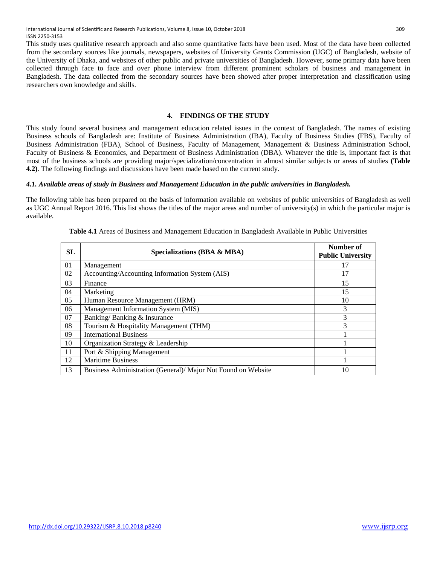International Journal of Scientific and Research Publications, Volume 8, Issue 10, October 2018 309 ISSN 2250-3153

This study uses qualitative research approach and also some quantitative facts have been used. Most of the data have been collected from the secondary sources like journals, newspapers, websites of University Grants Commission (UGC) of Bangladesh, website of the University of Dhaka, and websites of other public and private universities of Bangladesh. However, some primary data have been collected through face to face and over phone interview from different prominent scholars of business and management in Bangladesh. The data collected from the secondary sources have been showed after proper interpretation and classification using researchers own knowledge and skills.

#### **4. FINDINGS OF THE STUDY**

This study found several business and management education related issues in the context of Bangladesh. The names of existing Business schools of Bangladesh are: Institute of Business Administration (IBA), Faculty of Business Studies (FBS), Faculty of Business Administration (FBA), School of Business, Faculty of Management, Management & Business Administration School, Faculty of Business & Economics, and Department of Business Administration (DBA). Whatever the title is, important fact is that most of the business schools are providing major/specialization/concentration in almost similar subjects or areas of studies **(Table 4.2)**. The following findings and discussions have been made based on the current study.

#### *4.1. Available areas of study in Business and Management Education in the public universities in Bangladesh.*

The following table has been prepared on the basis of information available on websites of public universities of Bangladesh as well as UGC Annual Report 2016. This list shows the titles of the major areas and number of university(s) in which the particular major is available.

| <b>SL</b> | Specializations (BBA & MBA)                                   | Number of<br><b>Public University</b> |
|-----------|---------------------------------------------------------------|---------------------------------------|
| 01        | Management                                                    | 17                                    |
| 02        | Accounting/Accounting Information System (AIS)                | 17                                    |
| 03        | Finance                                                       | 15                                    |
| 04        | Marketing                                                     | 15                                    |
| 05        | Human Resource Management (HRM)                               | 10                                    |
| 06        | Management Information System (MIS)                           | 3                                     |
| 07        | Banking/Banking & Insurance                                   | 3                                     |
| 08        | Tourism & Hospitality Management (THM)                        | 3                                     |
| 09        | <b>International Business</b>                                 |                                       |
| 10        | Organization Strategy & Leadership                            |                                       |
| 11        | Port & Shipping Management                                    |                                       |
| 12        | <b>Maritime Business</b>                                      |                                       |
| 13        | Business Administration (General)/ Major Not Found on Website | 10                                    |

#### **Table 4.1** Areas of Business and Management Education in Bangladesh Available in Public Universities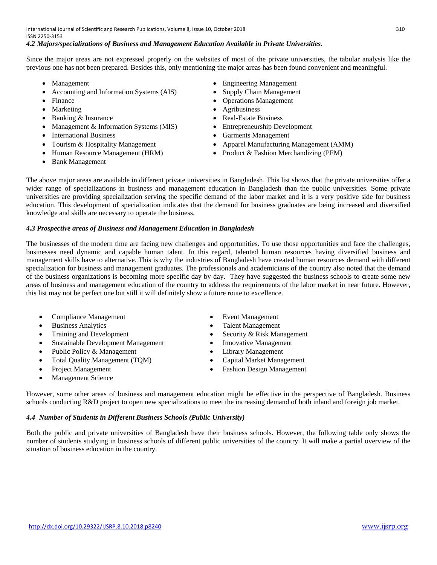International Journal of Scientific and Research Publications, Volume 8, Issue 10, October 2018 310 ISSN 2250-3153

#### *4.2 Majors/specializations of Business and Management Education Available in Private Universities.*

Since the major areas are not expressed properly on the websites of most of the private universities, the tabular analysis like the previous one has not been prepared. Besides this, only mentioning the major areas has been found convenient and meaningful.

- Management
- Accounting and Information Systems (AIS)
- Finance
- Marketing
- Banking & Insurance
- Management & Information Systems (MIS)
- International Business
- Tourism & Hospitality Management
- Human Resource Management (HRM)
- Bank Management
- Engineering Management
- Supply Chain Management
- Operations Management
- **Agribusiness**
- Real-Estate Business
- Entrepreneurship Development
- Garments Management
- Apparel Manufacturing Management (AMM)
- Product & Fashion Merchandizing (PFM)

The above major areas are available in different private universities in Bangladesh. This list shows that the private universities offer a wider range of specializations in business and management education in Bangladesh than the public universities. Some private universities are providing specialization serving the specific demand of the labor market and it is a very positive side for business education. This development of specialization indicates that the demand for business graduates are being increased and diversified knowledge and skills are necessary to operate the business.

#### *4.3 Prospective areas of Business and Management Education in Bangladesh*

The businesses of the modern time are facing new challenges and opportunities. To use those opportunities and face the challenges, businesses need dynamic and capable human talent. In this regard, talented human resources having diversified business and management skills have to alternative. This is why the industries of Bangladesh have created human resources demand with different specialization for business and management graduates. The professionals and academicians of the country also noted that the demand of the business organizations is becoming more specific day by day. They have suggested the business schools to create some new areas of business and management education of the country to address the requirements of the labor market in near future. However, this list may not be perfect one but still it will definitely show a future route to excellence.

- Compliance Management
- Business Analytics
- Training and Development
- Sustainable Development Management
- Public Policy & Management
- Total Quality Management (TQM)
- Project Management
- Management Science
- Event Management
- Talent Management
- Security & Risk Management
- **Innovative Management**
- Library Management
- Capital Market Management
- Fashion Design Management
- However, some other areas of business and management education might be effective in the perspective of Bangladesh. Business schools conducting R&D project to open new specializations to meet the increasing demand of both inland and foreign job market.

#### *4.4 Number of Students in Different Business Schools (Public University)*

Both the public and private universities of Bangladesh have their business schools. However, the following table only shows the number of students studying in business schools of different public universities of the country. It will make a partial overview of the situation of business education in the country.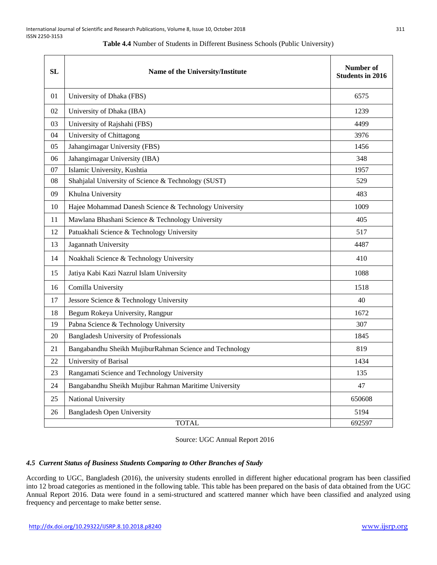| <b>SL</b> | Name of the University/Institute                        | <b>Number</b> of<br><b>Students in 2016</b> |  |
|-----------|---------------------------------------------------------|---------------------------------------------|--|
| 01        | University of Dhaka (FBS)                               | 6575                                        |  |
| 02        | University of Dhaka (IBA)                               | 1239                                        |  |
| 03        | University of Rajshahi (FBS)                            | 4499                                        |  |
| 04        | University of Chittagong                                | 3976                                        |  |
| 05        | Jahangirnagar University (FBS)                          | 1456                                        |  |
| 06        | Jahangirnagar University (IBA)                          | 348                                         |  |
| 07        | Islamic University, Kushtia                             | 1957                                        |  |
| 08        | Shahjalal University of Science & Technology (SUST)     | 529                                         |  |
| 09        | Khulna University                                       | 483                                         |  |
| 10        | Hajee Mohammad Danesh Science & Technology University   | 1009                                        |  |
| 11        | Mawlana Bhashani Science & Technology University        | 405                                         |  |
| 12        | Patuakhali Science & Technology University              | 517                                         |  |
| 13        | Jagannath University                                    | 4487                                        |  |
| 14        | Noakhali Science & Technology University                | 410                                         |  |
| 15        | Jatiya Kabi Kazi Nazrul Islam University                | 1088                                        |  |
| 16        | Comilla University                                      | 1518                                        |  |
| 17        | Jessore Science & Technology University                 | 40                                          |  |
| 18        | Begum Rokeya University, Rangpur                        | 1672                                        |  |
| 19        | Pabna Science & Technology University                   | 307                                         |  |
| 20        | <b>Bangladesh University of Professionals</b>           | 1845                                        |  |
| 21        | Bangabandhu Sheikh MujiburRahman Science and Technology | 819                                         |  |
| 22        | University of Barisal                                   | 1434                                        |  |
| 23        | Rangamati Science and Technology University             | 135                                         |  |
| 24        | Bangabandhu Sheikh Mujibur Rahman Maritime University   | 47                                          |  |
| 25        | National University                                     | 650608                                      |  |
| 26        | <b>Bangladesh Open University</b>                       | 5194                                        |  |
|           | <b>TOTAL</b>                                            | 692597                                      |  |

#### **Table 4.4** Number of Students in Different Business Schools (Public University)

Source: UGC Annual Report 2016

#### *4.5 Current Status of Business Students Comparing to Other Branches of Study*

According to UGC, Bangladesh (2016), the university students enrolled in different higher educational program has been classified into 12 broad categories as mentioned in the following table. This table has been prepared on the basis of data obtained from the UGC Annual Report 2016. Data were found in a semi-structured and scattered manner which have been classified and analyzed using frequency and percentage to make better sense.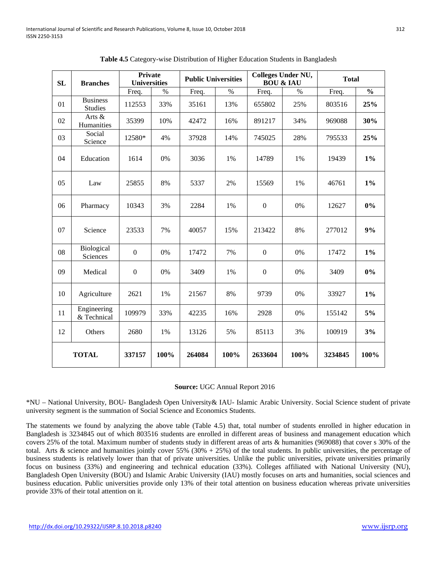| SL           | <b>Branches</b>                   | <b>Private</b><br><b>Universities</b> |       | <b>Public Universities</b> |      | <b>Colleges Under NU,</b><br><b>BOU &amp; IAU</b> |      | <b>Total</b> |               |
|--------------|-----------------------------------|---------------------------------------|-------|----------------------------|------|---------------------------------------------------|------|--------------|---------------|
|              |                                   | Freq.                                 | $\%$  | Freq.                      | $\%$ | Freq.                                             | $\%$ | Freq.        | $\frac{0}{0}$ |
| 01           | <b>Business</b><br><b>Studies</b> | 112553                                | 33%   | 35161                      | 13%  | 655802                                            | 25%  | 803516       | 25%           |
| 02           | Arts &<br>Humanities              | 35399                                 | 10%   | 42472                      | 16%  | 891217                                            | 34%  | 969088       | 30%           |
| 03           | Social<br>Science                 | 12580*                                | 4%    | 37928                      | 14%  | 745025                                            | 28%  | 795533       | 25%           |
| 04           | Education                         | 1614                                  | 0%    | 3036                       | 1%   | 14789                                             | 1%   | 19439        | $1\%$         |
| 05           | Law                               | 25855                                 | 8%    | 5337                       | 2%   | 15569                                             | 1%   | 46761        | $1\%$         |
| 06           | Pharmacy                          | 10343                                 | 3%    | 2284                       | 1%   | $\mathbf{0}$                                      | 0%   | 12627        | $0\%$         |
| 07           | Science                           | 23533                                 | 7%    | 40057                      | 15%  | 213422                                            | 8%   | 277012       | 9%            |
| 08           | Biological<br>Sciences            | $\boldsymbol{0}$                      | 0%    | 17472                      | 7%   | $\boldsymbol{0}$                                  | 0%   | 17472        | $1\%$         |
| 09           | Medical                           | $\boldsymbol{0}$                      | 0%    | 3409                       | 1%   | $\boldsymbol{0}$                                  | 0%   | 3409         | 0%            |
| 10           | Agriculture                       | 2621                                  | 1%    | 21567                      | 8%   | 9739                                              | 0%   | 33927        | $1\%$         |
| 11           | Engineering<br>& Technical        | 109979                                | 33%   | 42235                      | 16%  | 2928                                              | 0%   | 155142       | 5%            |
| 12           | Others                            | 2680                                  | $1\%$ | 13126                      | 5%   | 85113                                             | 3%   | 100919       | 3%            |
| <b>TOTAL</b> |                                   | 337157                                | 100%  | 264084                     | 100% | 2633604                                           | 100% | 3234845      | 100%          |

**Table 4.5** Category-wise Distribution of Higher Education Students in Bangladesh

#### **Source:** UGC Annual Report 2016

\*NU – National University, BOU- Bangladesh Open University& IAU- Islamic Arabic University. Social Science student of private university segment is the summation of Social Science and Economics Students.

The statements we found by analyzing the above table (Table 4.5) that, total number of students enrolled in higher education in Bangladesh is 3234845 out of which 803516 students are enrolled in different areas of business and management education which covers 25% of the total. Maximum number of students study in different areas of arts & humanities (969088) that cover s 30% of the total. Arts & science and humanities jointly cover 55% (30% + 25%) of the total students. In public universities, the percentage of business students is relatively lower than that of private universities. Unlike the public universities, private universities primarily focus on business (33%) and engineering and technical education (33%). Colleges affiliated with National University (NU), Bangladesh Open University (BOU) and Islamic Arabic University (IAU) mostly focuses on arts and humanities, social sciences and business education. Public universities provide only 13% of their total attention on business education whereas private universities provide 33% of their total attention on it.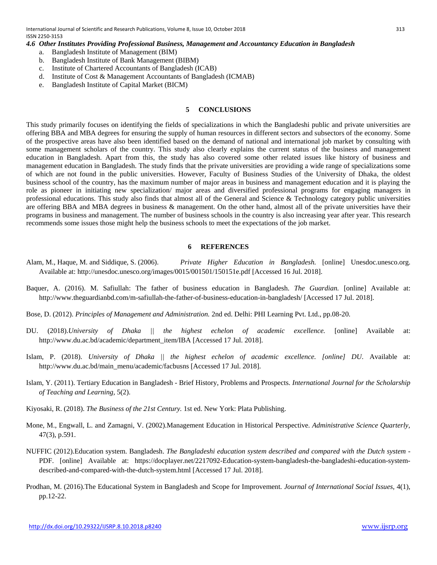#### *4.6 Other Institutes Providing Professional Business, Management and Accountancy Education in Bangladesh*

- a. Bangladesh Institute of Management (BIM)
- b. Bangladesh Institute of Bank Management (BIBM)
- c. Institute of Chartered Accountants of Bangladesh (ICAB)
- d. Institute of Cost & Management Accountants of Bangladesh (ICMAB)
- e. Bangladesh Institute of Capital Market (BICM)

#### **5 CONCLUSIONS**

This study primarily focuses on identifying the fields of specializations in which the Bangladeshi public and private universities are offering BBA and MBA degrees for ensuring the supply of human resources in different sectors and subsectors of the economy. Some of the prospective areas have also been identified based on the demand of national and international job market by consulting with some management scholars of the country. This study also clearly explains the current status of the business and management education in Bangladesh. Apart from this, the study has also covered some other related issues like history of business and management education in Bangladesh. The study finds that the private universities are providing a wide range of specializations some of which are not found in the public universities. However, Faculty of Business Studies of the University of Dhaka, the oldest business school of the country, has the maximum number of major areas in business and management education and it is playing the role as pioneer in initiating new specialization/ major areas and diversified professional programs for engaging managers in professional educations. This study also finds that almost all of the General and Science  $\&$  Technology category public universities are offering BBA and MBA degrees in business & management. On the other hand, almost all of the private universities have their programs in business and management. The number of business schools in the country is also increasing year after year. This research recommends some issues those might help the business schools to meet the expectations of the job market.

#### **6 REFERENCES**

- Alam, M., Haque, M. and Siddique, S. (2006). *Private Higher Education in Bangladesh.* [online] Unesdoc.unesco.org. Available at: http://unesdoc.unesco.org/images/0015/001501/150151e.pdf [Accessed 16 Jul. 2018].
- Baquer, A. (2016). M. Safiullah: The father of business education in Bangladesh. *The Guardian.* [online] Available at: http://www.theguardianbd.com/m-safiullah-the-father-of-business-education-in-bangladesh/ [Accessed 17 Jul. 2018].
- Bose, D. (2012). *Principles of Management and Administration.* 2nd ed. Delhi: PHI Learning Pvt. Ltd., pp.08-20.
- DU. (2018).*University of Dhaka || the highest echelon of academic excellence.* [online] Available at: http://www.du.ac.bd/academic/department\_item/IBA [Accessed 17 Jul. 2018].
- Islam, P. (2018). *University of Dhaka || the highest echelon of academic excellence. [online] DU*. Available at: http://www.du.ac.bd/main\_menu/academic/facbusns [Accessed 17 Jul. 2018].
- Islam, Y. (2011). Tertiary Education in Bangladesh Brief History, Problems and Prospects. *International Journal for the Scholarship of Teaching and Learning,* 5(2).
- Kiyosaki, R. (2018). *The Business of the 21st Century.* 1st ed. New York: Plata Publishing.
- Mone, M., Engwall, L. and Zamagni, V. (2002).Management Education in Historical Perspective. *Administrative Science Quarterly,* 47(3), p.591.
- NUFFIC (2012).Education system. Bangladesh. *The Bangladeshi education system described and compared with the Dutch system* PDF. [online] Available at: https://docplayer.net/2217092-Education-system-bangladesh-the-bangladeshi-education-systemdescribed-and-compared-with-the-dutch-system.html [Accessed 17 Jul. 2018].
- Prodhan, M. (2016).The Educational System in Bangladesh and Scope for Improvement. *Journal of International Social Issues,* 4(1), pp.12-22.